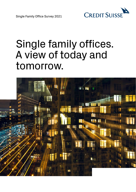

Single Family Office Survey 2021

# Single family offices. A view of today and tomorrow.

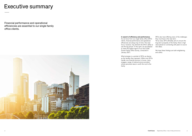## Executive summary

Financial performance and operational efficiencies are essential to our single family office clients.



As we know from our single family office (SFO) clients, financial performance and operational Yet as every SFO ultimately aims to ensure the efficiencies are always top of mind. This dual long-term prosperity of the family, there is high focus, however, may diminish the SFO's ability to value placed on connecting with peers to source see the big picture. In this spirit, we are pleased new ideas. to share the topline report of our first Credit<br>Suisse Family Office Survey, conducted in January 2021.

What emerges is a portrait of SFOs as diverse as the families they represent. While most SFOs handle core financial services in-house, many engage a range of external service providers whose perceived value is worth the cost to the family.

**In search of efficiency and performance** SFOs also have differing views of the challenges As we know from our single family office (SFO) they must face in the near term.

We hope these findings are both enlightening<br>and useful.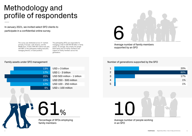## Methodology and profile of respondents

In January 2021, we invited select SFO clients to participate in a confidential online survey.

> The survey was distributed across 41 markets The participating SFOs are responsible for primarily in Europe, Latin America, and the managing a total of USD 80-90 billion in family Middle East. A total of 86 SFO clients took part, assets. On average, they employ ten people with 89% of the participants holding executive, (both family and non-family members) and managing director, or board positions. support six family members across two

generations.

#### Family assets under SFO management

| 13% | $USD > 3$ billion            |
|-----|------------------------------|
| 17% | USD 1 - 3 billion            |
| 25% | USD 500 million - 1 billion  |
| 22% | <b>USD 250 - 500 million</b> |
| 17% | <b>USD 100 - 250 million</b> |
| 6%  | $USD < 100$ million          |
|     |                              |

Percentage of SFOs employing family members

61%

Average number of family members supported by an SFO



#### Number of generations supported by the SFO

| $\mathbf 1$    |           | 20%   |
|----------------|-----------|-------|
| $\overline{2}$ |           | 60%   |
| 3              |           | 17%   |
| 4              |           | $1\%$ |
| 5              |           | $1\%$ |
|                |           |       |
|                | $\bullet$ |       |

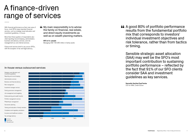## A finance-driven range of services

With financial performance as their main area of focus, most SFOs keep important financial services, such as strategic asset allocation and investment guidelines, in-house.

More than three-quarters of respondents also cited reporting/record-keeping, administration, business and advisory services, and risk management as core internal services.

**44** My main responsibility is to advise the family on financial, real estate, and direct equity investments as well as on wealth planning matters.

Ξ

Outsourced services tend to vary across SFOs, with the exception of tax and legal advisory.

**SFO of 2+ people**  Managing USD 100-250 million in family assets

### In-house versus outsourced services

### **44 A good 80% of portfolio performance** results from the fundamental portfolio mix that corresponds to investors' individual investment objectives and risk tolerance, rather than from tactics

| Strategic asset allocation and<br>investment guidelines |    |     |     |     |     |
|---------------------------------------------------------|----|-----|-----|-----|-----|
| Reporting and record-keeping                            |    |     |     |     |     |
| Administrative services                                 |    |     |     |     |     |
| Business and financial advisory                         |    |     |     |     |     |
| Risk management                                         |    |     |     |     |     |
| Investment manager services                             |    |     |     |     |     |
| Family governance management                            |    |     |     |     |     |
| Life management and budgeting                           |    |     |     |     |     |
| Estate planning and wealth transfer                     |    |     |     |     |     |
| Portfolio management services                           |    |     |     |     |     |
| Philanthropic management                                |    |     |     |     |     |
| Succession planning                                     |    |     |     |     |     |
| Training and education of family members                |    |     |     |     |     |
| Compliance and regulatory assistance                    |    |     |     |     |     |
| Insurance and healthcare solutions                      |    |     |     |     |     |
| Tax and legal advisory                                  |    |     |     |     |     |
| In-house<br>Outsourced                                  | 0% | 20% | 40% | 60% | 80% |

Not performed

or timing.

Sensible strategic asset allocation (SAA) may well be the SFO's most important contribution to sustaining portfolio performance – reflected by the fact that 91% of our SFO clients consider SAA and investment guidelines as key services.

**Nannette Hechler-Fayd'herbe**  CIO for IWM, Credit Suisse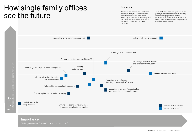## How single family offices see the future

### Importance

The survey respondents were asked which As for the families supported by the SFOs, they challenges, if any, the SFO and the family place high importance on sustainable investing currently face or will face in the future. and education/preparation of the next Technology, IT, and cybersecurity emerged as generation. Their current focus, however, is on followed by cost efficiency and talent ensure long-term prosperity. recruitment.

Challenges in the next 5 years (from less to more important)

#### Summary



the most pressing challenges facing SFOs, managing the volatility related to the pandemic to

Talent recruitment and retention



Challenges faced by the family Challenges faced by the SFO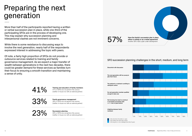# Preparing the next generation

More than half of the participants reported having a written or verbal succession plan in place, while one-third of the participating SFOs are in the process of developing one. This may explain why succession planning and interpersonal clashes are not imminent concerns.

While there is some resistance to discussing ways to involve the next generation, nearly half of the respondents expressed interest in addressing the topic with peers.

> **Training and education of family members**  Training and education of family members<br>41% of SFOs do not perform this service<br>(neither in-house nor with an external partner)

**Family governance management 33% of SFOs do not perform this service**<br>(neither in-house nor with an external partner)

**Succession planning 23%** of SFOs do not perform this service<br>
(neither in-house nor with an external partner)

**Have the family's succession plan in place For All Strate Strate Strate is a verbal agreement**<br>Another 33% have a plan under development

Of note, a fairly high proportion of SFOs do not provide or outsource services related to training and family governance management. As we expect a major transfer of wealth between generations in the next two decades, there could be greater demand for these services as families turn their focus to ensuring a smooth transition and maintaining a sense of unity.

### SFO succession planning challenges in the short, medium, and long term

**Discomfort with discussion** 

**plan their future** 

**relinquish control** 

**enough to take over** 



**a successful succession plan**  and/or **lack of good advice** 



**Infighting between family** 

**members**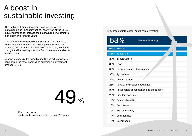## A boost in sustainable investing

Although institutional investors have led the way in sustainable and impact investing, nearly half of the SFOs surveyed intend to increase their sustainable investments in the next two to three years.

This shift reflects a range of factors, from the changing regulatory environment and growing awareness of the financial risks attached to controversial sectors, to climate change and increasing pressure from consumers and other stakeholders.

Renewable energy, followed by health and education, are considered the most compelling sustainable investment areas for SFOs.

49 %

Plan to increase sustainable investments in the next 2-3 years SFO areas of interest for sustainable

|       | <b>613Yo</b><br>Renewable energy       |
|-------|----------------------------------------|
| 61%   | <b>Health</b>                          |
| 48%   | Education                              |
| 36%   | Infrastructure                         |
| 36%   | Food                                   |
| 36%   | <b>Environment and biodiversity</b>    |
| 36%   | Agriculture                            |
| 32%   | <b>Climate action</b>                  |
| 28%   | Poverty and social inequalities        |
| 23%   | Responsible consumption and production |
| 20%   | Circular economy                       |
| 19%   | Sustainable cities                     |
| 16%   | Don't know                             |
| $9\%$ | <b>Gender equality</b>                 |
| 7%    | <b>Communities</b>                     |

5% Governance

| ble investing  |  |
|----------------|--|
|                |  |
| vable energy   |  |
|                |  |
|                |  |
|                |  |
| sity           |  |
|                |  |
|                |  |
| lities         |  |
| and production |  |
|                |  |
|                |  |
|                |  |
|                |  |
|                |  |
|                |  |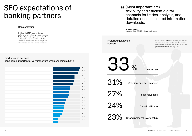# SFO expectations of banking partners

Bank selection

In light of the SFO's focus on financial performance and efficiency, it is not surprising that direct access to experts and trading desks ranks as a leading factor in bank selection. The bank's level of fees, market insight, and integrated services are also important criteria.

Products and services considered important or very important when choosing a bank

 $\sim$  94 %  $\sim$  94 %  $\sim$  0.3 % access to specialists and trading desks 93 % access 1.4  $\,$  93 % Market information and research  $\sim$  91 %  $\,$  91 %  $\,$ Large range of products and services  $77\%$  "One-stop shop" approach and access to investment banking services 77 % Online and mobile solutions (digital interfaces with the bank) 76 %  $\,$ Access to senior management of the bank  $73\%$  Robust framework for strategic asset allocation 63 % International locations of the bank and global booking platforms  $62$  %  $\mathcal{L}$  dialigence of and access to alternative investment funds 61 % 61 % Capabilities in structured lending real asset lending real asset lending  $56 \%$ Access to private investment operation in version opportunities including club deals  $\sim$  55 %  $G_{\rm 51}$  %  $G_{\rm 51}$  %  $G_{\rm 51}$  %  $G_{\rm 51}$  %  $G_{\rm 51}$  %  $G_{\rm 51}$  % . Access to other single family of  $44 \%$ Sustainable and impact investing solutions  $41$  %  $\sim$  41 % and flow 41 % and flow 41 % Customized discretionary mandates 37 % Family governance advice  $\sim$  35 %  $\,$  35 %  $\,$  $\sim$  27 %  $\,$ Trust solutions  $20\%$  $\sim$  18 % and 18 % advice 18  $\sim$  18 % and 18 % and 18 % and 18 % and 18 % and 18 % and 18 % and 18 % and 18 % and 18 % and 18 % and 18 % and 18 % and 18 % and 18 % and 18 % and 18 % and 18 % and 18 % and 18 % and 18 % an **Preferred qualities in** When it comes to banking partners, SFOs most<br> **PREFERENTED CONSISTS** value expertise and a solution-oriented mindset. **bankers**<br>**bankers** other factors, such as a can-do attitude and the other factors, such as a can-do attitude and the personal relationship, also play a role.

(Most important are)

## flexibility and efficient digital channels for trades, analysis, and detailed or consolidated information

downloads.

**SFO of 3 people**  Managing USD 100-250 million in family assets

33, 31% 27% 24% 23% Can-do attitude Responsiveness Strong personal relationship Solution-oriented mindset **%** Expertise

14 **Credit Suisse** Single family offices. A view of today and tomorrow. 15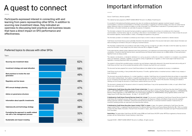# A quest to connect

Participants expressed interest in connecting with and learning from peers representing other SFOs. In addition to sourcing new investment ideas, they indicated an openness to discussing best practices and business issues that have a direct impact on SFO performance and effectiveness.

### Preferred topics to discuss with other SFOs

It is provided for informational and illustrative purposes only, does not constitute an advertisement, appraisal, investment research, research recommendations, investment recommendations or information recommending or suggesting an investment strategy, and it does not contain financial analysis. Moreover it does not constitute an invitation or an offer to the public or on a private basis to subscribe for or purchase products or services. Benchmarks, to the extent mentioned, are used solely for purposes of comparison.

## Important information

Source: Credit Suisse, otherwise specified.

This material has been prepared by CREDIT SUISSE GROUP AG and/or its affiliates ("Credit Suisse").

The information contained in this document has been provided as a general commentary only and does not constitute any form of personal recommendation, investment advice, legal, tax, accounting or other advice or recommendation or any other financial service. It does not take into account the investment objectives, financial situation or needs, or knowledge and experience of any persons.

This document may provide the addresses of, or contain hyperlinks to, websites. Credit Suisse has not reviewed the linked site and takes no responsibility for the content contained therein. Such address or hyperlink (including addresses or hyperlinks to Credit Suisse's own website material) is provided solely for your convenience and information and the content of the linked site does not in any way form part of this document. Accessing such website or following such link through this document or Credit Suisse's website shall be at your own risk.

The information provided is not intended to constitute any kind of basis on which to make an investment, divestment or retention decision.

Credit Suisse recommends that any person potentially interested in the elements described in this document shall seek to obtain relevant information and advice (including but not limited to risks) prior to taking any investment decision.

**If distributed by Credit Suisse Securities (India) Private Limited India:** This report is distributed by Credit Suisse Securities (India) Private Limited (CIN no. U67120MH1996PTC104392) regulated by the Securities and Exchange Board of India as Portfolio Manager (registration no. INP000002478), Research Analyst (registration no. INH 000001030), and as Stock Broker (registration no. INZ000248233), having registered address at 9th Floor, Ceejay House, Dr.A.B. Road, Worli, Mumbai - 18, India, T- +91-22 6777 3777

The information contained herein was provided as at the date of writing, and may no longer be up to date on the date on which the reader may receive or access the information. It may change at any time without notice and with no obligation to update.

| <b>Topics</b>                                                                     |  |     |
|-----------------------------------------------------------------------------------|--|-----|
| Sourcing new investment ideas                                                     |  | 62% |
| Investment strategy and asset allocation                                          |  | 58% |
| Best practices to involve the next<br>generation                                  |  | 49% |
| Regulatory and tax issues                                                         |  | 48% |
| SFO annual strategic planning                                                     |  | 47% |
| Advice on governance structure                                                    |  | 45% |
| Information about specific investments                                            |  | 43% |
| Cybersecurity and technology strategy                                             |  | 38% |
| Formalizing the approach to wealth-related<br>risk with a risk management process |  | 32% |
| Sustainable and impact investing                                                  |  | 32% |

To the extent that this material contains statements about future performance, such statements are forward looking and subject to a number of risks and uncertainties. It should be noted that historical returns, past performance and financial market scenarios are no reliable indicator of future performance. Significant losses are always possible.

This material is not directed to, or intended for distribution to or use by, any person or entity who is a citizen or resident of, or is located in, any jurisdiction where such distribution, publication, availability or use would be contrary to applicable law or regulation, or which would subject Credit Suisse to any registration or licensing requirement within such jurisdiction.

The recipient is informed that a possible business connection may exist between a legal entity referenced in the present document and an entity part of Credit Suisse and that it may not be excluded that potential conflict of interests may result from such connection.

58% This document has been prepared from sources Credit Suisse believes to be reliable but does not guarantee its accuracy or completeness.

Credit Suisse may be providing, or have provided within the previous 12 months, significant advice or investment services in relation to any company or issuer mentioned.

This document is intended only for the person to whom it is issued by Credit Suisse. It may not be reproduced either in whole, or in part, without Credit Suisse's prior written permission.

**If distributed by Credit Suisse Financial Services (Israel) Ltd. in Israel:** This document is distributed by Credit Suisse Financial Services (Israel) Ltd. Credit Suisse AG, including the services offered in Israel, is not supervised by the Supervisor of Banks at the Bank of Israel, but by the competent banking supervision authority in Switzerland. Credit Suisse Financial Services (Israel) Ltd. is a licensed investment marketer in Israel and thus, its investment marketing activities are supervised by the Israel Securities Authority.

**If distributed by Credit Suisse Securities (Japan) Limited ("CSJL") in Japan:** In Japan, this material is distributed by Credit Suisse Securities 38% (Japan) Limited ("CSJL"), a registered Financial Instruments Firm (Director-General of Kanto Local Finance Bureau (Kinsho) No. 66). CSJL is a member of Japan Securities Dealers Association, Financial Futures Association of Japan, Japan Investment Advisers Association and Type II Financial Instruments Firms Association.

32% **South Africa:** The legal entities Credit Suisse AG (FSP number 9788) and Credit Suisse UK (FSP number 48779) are registered as financial services providers with the Financial Sector Conduct Authority in South Africa

Copyright © 2021. CREDIT SUISSE GROUP AG and/or its affiliates. All rights reserved.